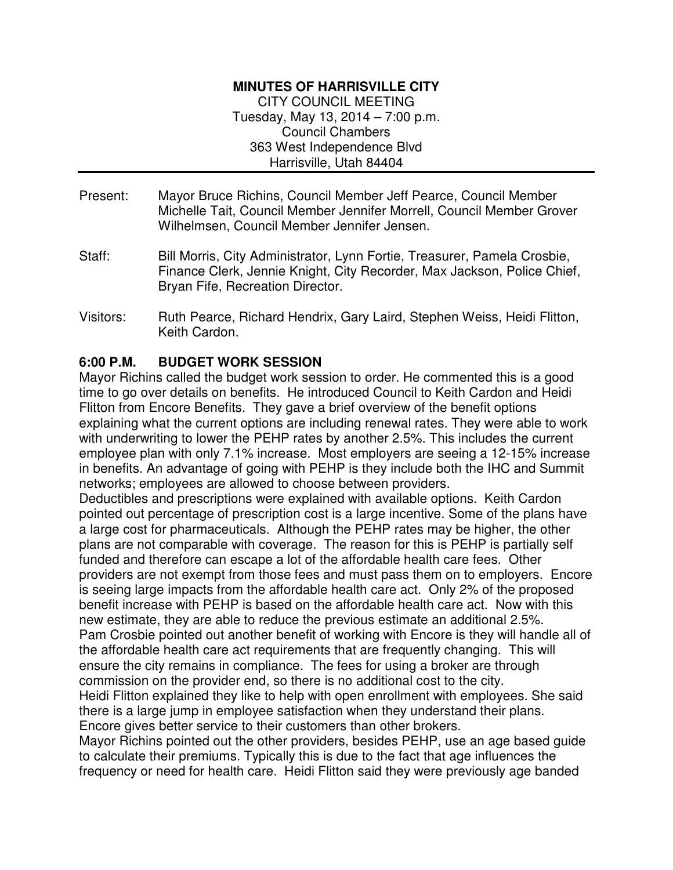## **MINUTES OF HARRISVILLE CITY**

CITY COUNCIL MEETING Tuesday, May 13, 2014 – 7:00 p.m. Council Chambers 363 West Independence Blvd Harrisville, Utah 84404

- Present: Mayor Bruce Richins, Council Member Jeff Pearce, Council Member Michelle Tait, Council Member Jennifer Morrell, Council Member Grover Wilhelmsen, Council Member Jennifer Jensen.
- Staff: Bill Morris, City Administrator, Lynn Fortie, Treasurer, Pamela Crosbie, Finance Clerk, Jennie Knight, City Recorder, Max Jackson, Police Chief, Bryan Fife, Recreation Director.
- Visitors: Ruth Pearce, Richard Hendrix, Gary Laird, Stephen Weiss, Heidi Flitton, Keith Cardon.

## **6:00 P.M. BUDGET WORK SESSION**

Mayor Richins called the budget work session to order. He commented this is a good time to go over details on benefits. He introduced Council to Keith Cardon and Heidi Flitton from Encore Benefits. They gave a brief overview of the benefit options explaining what the current options are including renewal rates. They were able to work with underwriting to lower the PEHP rates by another 2.5%. This includes the current employee plan with only 7.1% increase. Most employers are seeing a 12-15% increase in benefits. An advantage of going with PEHP is they include both the IHC and Summit networks; employees are allowed to choose between providers.

Deductibles and prescriptions were explained with available options. Keith Cardon pointed out percentage of prescription cost is a large incentive. Some of the plans have a large cost for pharmaceuticals. Although the PEHP rates may be higher, the other plans are not comparable with coverage. The reason for this is PEHP is partially self funded and therefore can escape a lot of the affordable health care fees. Other providers are not exempt from those fees and must pass them on to employers. Encore is seeing large impacts from the affordable health care act. Only 2% of the proposed benefit increase with PEHP is based on the affordable health care act. Now with this new estimate, they are able to reduce the previous estimate an additional 2.5%. Pam Crosbie pointed out another benefit of working with Encore is they will handle all of the affordable health care act requirements that are frequently changing. This will ensure the city remains in compliance. The fees for using a broker are through commission on the provider end, so there is no additional cost to the city. Heidi Flitton explained they like to help with open enrollment with employees. She said

there is a large jump in employee satisfaction when they understand their plans. Encore gives better service to their customers than other brokers.

Mayor Richins pointed out the other providers, besides PEHP, use an age based guide to calculate their premiums. Typically this is due to the fact that age influences the frequency or need for health care. Heidi Flitton said they were previously age banded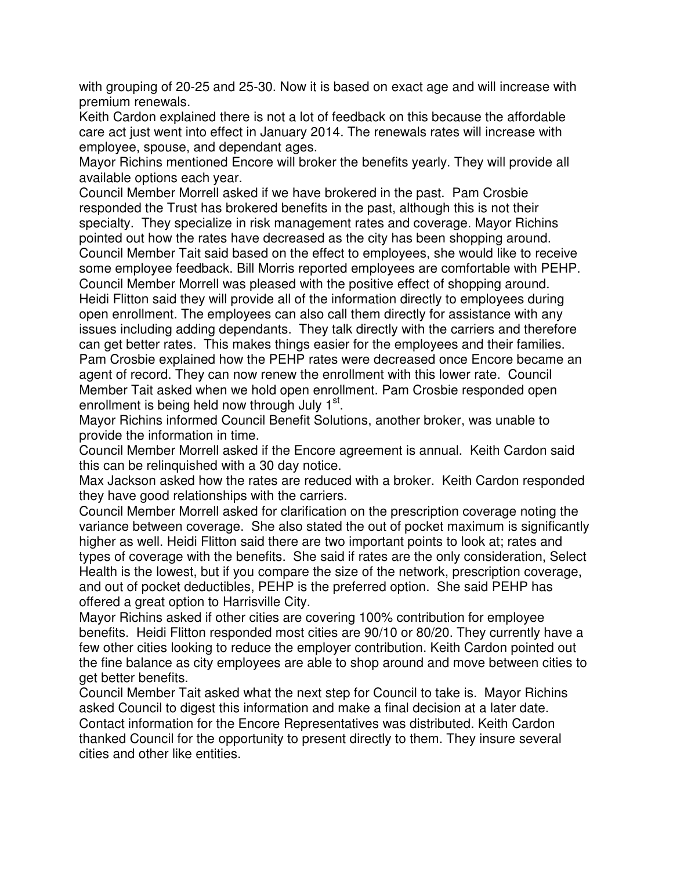with grouping of 20-25 and 25-30. Now it is based on exact age and will increase with premium renewals.

Keith Cardon explained there is not a lot of feedback on this because the affordable care act just went into effect in January 2014. The renewals rates will increase with employee, spouse, and dependant ages.

Mayor Richins mentioned Encore will broker the benefits yearly. They will provide all available options each year.

Council Member Morrell asked if we have brokered in the past. Pam Crosbie responded the Trust has brokered benefits in the past, although this is not their specialty. They specialize in risk management rates and coverage. Mayor Richins pointed out how the rates have decreased as the city has been shopping around. Council Member Tait said based on the effect to employees, she would like to receive some employee feedback. Bill Morris reported employees are comfortable with PEHP. Council Member Morrell was pleased with the positive effect of shopping around. Heidi Flitton said they will provide all of the information directly to employees during open enrollment. The employees can also call them directly for assistance with any issues including adding dependants. They talk directly with the carriers and therefore can get better rates. This makes things easier for the employees and their families. Pam Crosbie explained how the PEHP rates were decreased once Encore became an agent of record. They can now renew the enrollment with this lower rate. Council Member Tait asked when we hold open enrollment. Pam Crosbie responded open enrollment is being held now through July 1<sup>st</sup>.

Mayor Richins informed Council Benefit Solutions, another broker, was unable to provide the information in time.

Council Member Morrell asked if the Encore agreement is annual. Keith Cardon said this can be relinquished with a 30 day notice.

Max Jackson asked how the rates are reduced with a broker. Keith Cardon responded they have good relationships with the carriers.

Council Member Morrell asked for clarification on the prescription coverage noting the variance between coverage. She also stated the out of pocket maximum is significantly higher as well. Heidi Flitton said there are two important points to look at; rates and types of coverage with the benefits. She said if rates are the only consideration, Select Health is the lowest, but if you compare the size of the network, prescription coverage, and out of pocket deductibles, PEHP is the preferred option. She said PEHP has offered a great option to Harrisville City.

Mayor Richins asked if other cities are covering 100% contribution for employee benefits. Heidi Flitton responded most cities are 90/10 or 80/20. They currently have a few other cities looking to reduce the employer contribution. Keith Cardon pointed out the fine balance as city employees are able to shop around and move between cities to get better benefits.

Council Member Tait asked what the next step for Council to take is. Mayor Richins asked Council to digest this information and make a final decision at a later date. Contact information for the Encore Representatives was distributed. Keith Cardon thanked Council for the opportunity to present directly to them. They insure several cities and other like entities.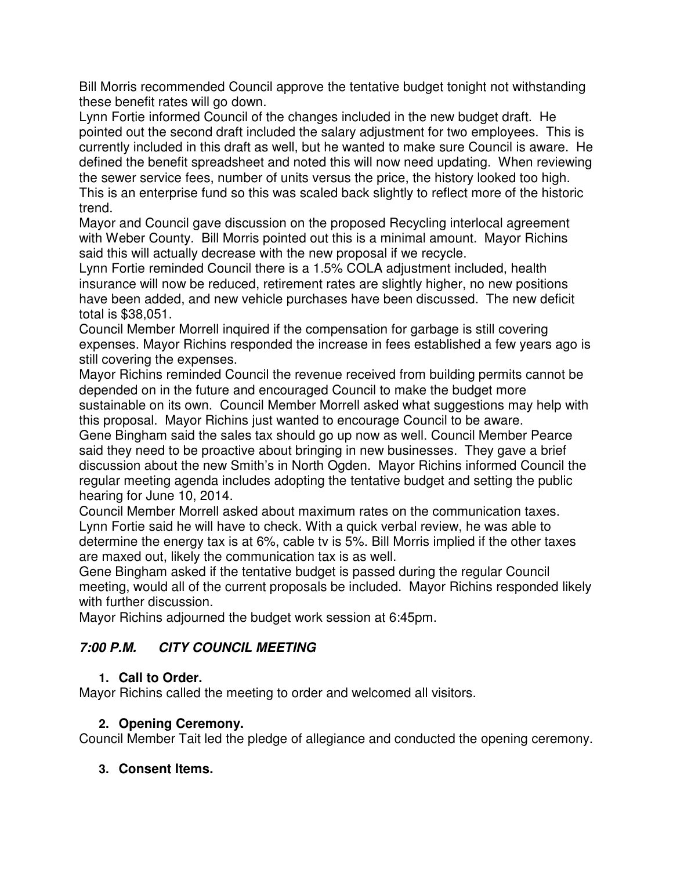Bill Morris recommended Council approve the tentative budget tonight not withstanding these benefit rates will go down.

Lynn Fortie informed Council of the changes included in the new budget draft. He pointed out the second draft included the salary adjustment for two employees. This is currently included in this draft as well, but he wanted to make sure Council is aware. He defined the benefit spreadsheet and noted this will now need updating. When reviewing the sewer service fees, number of units versus the price, the history looked too high. This is an enterprise fund so this was scaled back slightly to reflect more of the historic trend.

Mayor and Council gave discussion on the proposed Recycling interlocal agreement with Weber County. Bill Morris pointed out this is a minimal amount. Mayor Richins said this will actually decrease with the new proposal if we recycle.

Lynn Fortie reminded Council there is a 1.5% COLA adjustment included, health insurance will now be reduced, retirement rates are slightly higher, no new positions have been added, and new vehicle purchases have been discussed. The new deficit total is \$38,051.

Council Member Morrell inquired if the compensation for garbage is still covering expenses. Mayor Richins responded the increase in fees established a few years ago is still covering the expenses.

Mayor Richins reminded Council the revenue received from building permits cannot be depended on in the future and encouraged Council to make the budget more sustainable on its own. Council Member Morrell asked what suggestions may help with this proposal. Mayor Richins just wanted to encourage Council to be aware.

Gene Bingham said the sales tax should go up now as well. Council Member Pearce said they need to be proactive about bringing in new businesses. They gave a brief discussion about the new Smith's in North Ogden. Mayor Richins informed Council the regular meeting agenda includes adopting the tentative budget and setting the public hearing for June 10, 2014.

Council Member Morrell asked about maximum rates on the communication taxes. Lynn Fortie said he will have to check. With a quick verbal review, he was able to determine the energy tax is at 6%, cable tv is 5%. Bill Morris implied if the other taxes are maxed out, likely the communication tax is as well.

Gene Bingham asked if the tentative budget is passed during the regular Council meeting, would all of the current proposals be included. Mayor Richins responded likely with further discussion.

Mayor Richins adjourned the budget work session at 6:45pm.

# **7:00 P.M. CITY COUNCIL MEETING**

## **1. Call to Order.**

Mayor Richins called the meeting to order and welcomed all visitors.

## **2. Opening Ceremony.**

Council Member Tait led the pledge of allegiance and conducted the opening ceremony.

## **3. Consent Items.**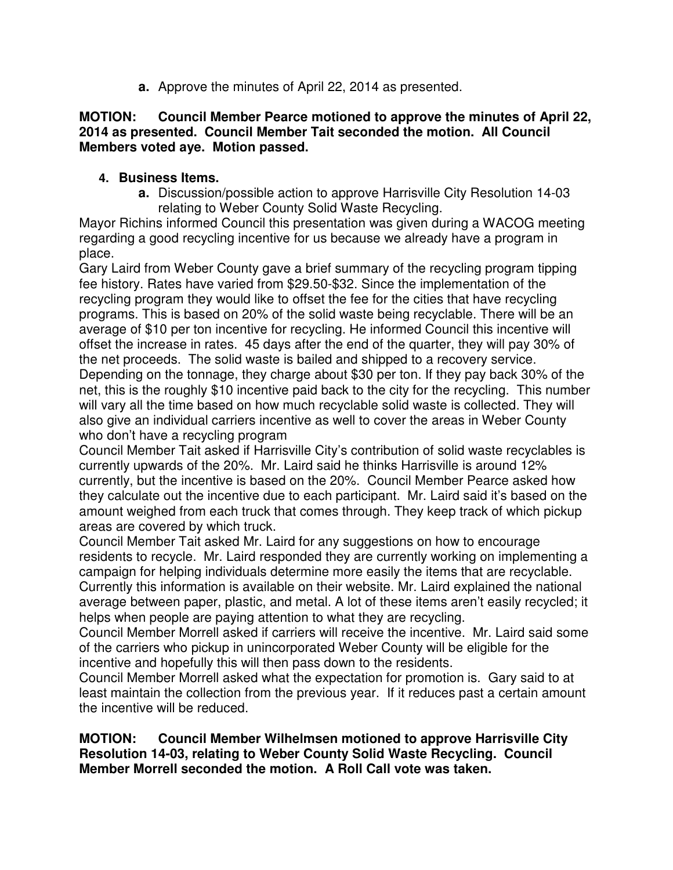**a.** Approve the minutes of April 22, 2014 as presented.

#### **MOTION: Council Member Pearce motioned to approve the minutes of April 22, 2014 as presented. Council Member Tait seconded the motion. All Council Members voted aye. Motion passed.**

## **4. Business Items.**

**a.** Discussion/possible action to approve Harrisville City Resolution 14-03 relating to Weber County Solid Waste Recycling.

Mayor Richins informed Council this presentation was given during a WACOG meeting regarding a good recycling incentive for us because we already have a program in place.

Gary Laird from Weber County gave a brief summary of the recycling program tipping fee history. Rates have varied from \$29.50-\$32. Since the implementation of the recycling program they would like to offset the fee for the cities that have recycling programs. This is based on 20% of the solid waste being recyclable. There will be an average of \$10 per ton incentive for recycling. He informed Council this incentive will offset the increase in rates. 45 days after the end of the quarter, they will pay 30% of the net proceeds. The solid waste is bailed and shipped to a recovery service. Depending on the tonnage, they charge about \$30 per ton. If they pay back 30% of the net, this is the roughly \$10 incentive paid back to the city for the recycling. This number will vary all the time based on how much recyclable solid waste is collected. They will also give an individual carriers incentive as well to cover the areas in Weber County who don't have a recycling program

Council Member Tait asked if Harrisville City's contribution of solid waste recyclables is currently upwards of the 20%. Mr. Laird said he thinks Harrisville is around 12% currently, but the incentive is based on the 20%. Council Member Pearce asked how they calculate out the incentive due to each participant. Mr. Laird said it's based on the amount weighed from each truck that comes through. They keep track of which pickup areas are covered by which truck.

Council Member Tait asked Mr. Laird for any suggestions on how to encourage residents to recycle. Mr. Laird responded they are currently working on implementing a campaign for helping individuals determine more easily the items that are recyclable. Currently this information is available on their website. Mr. Laird explained the national average between paper, plastic, and metal. A lot of these items aren't easily recycled; it helps when people are paying attention to what they are recycling.

Council Member Morrell asked if carriers will receive the incentive. Mr. Laird said some of the carriers who pickup in unincorporated Weber County will be eligible for the incentive and hopefully this will then pass down to the residents.

Council Member Morrell asked what the expectation for promotion is. Gary said to at least maintain the collection from the previous year. If it reduces past a certain amount the incentive will be reduced.

**MOTION: Council Member Wilhelmsen motioned to approve Harrisville City Resolution 14-03, relating to Weber County Solid Waste Recycling. Council Member Morrell seconded the motion. A Roll Call vote was taken.**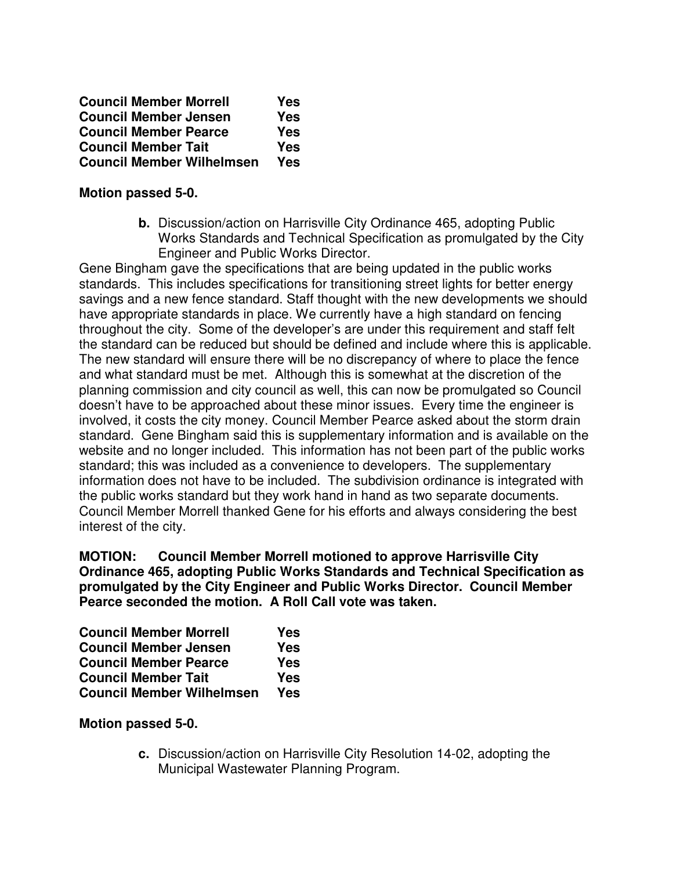| <b>Council Member Morrell</b>    | Yes |
|----------------------------------|-----|
| <b>Council Member Jensen</b>     | Yes |
| <b>Council Member Pearce</b>     | Yes |
| <b>Council Member Tait</b>       | Yes |
| <b>Council Member Wilhelmsen</b> | Yes |

#### **Motion passed 5-0.**

**b.** Discussion/action on Harrisville City Ordinance 465, adopting Public Works Standards and Technical Specification as promulgated by the City Engineer and Public Works Director.

Gene Bingham gave the specifications that are being updated in the public works standards. This includes specifications for transitioning street lights for better energy savings and a new fence standard. Staff thought with the new developments we should have appropriate standards in place. We currently have a high standard on fencing throughout the city. Some of the developer's are under this requirement and staff felt the standard can be reduced but should be defined and include where this is applicable. The new standard will ensure there will be no discrepancy of where to place the fence and what standard must be met. Although this is somewhat at the discretion of the planning commission and city council as well, this can now be promulgated so Council doesn't have to be approached about these minor issues. Every time the engineer is involved, it costs the city money. Council Member Pearce asked about the storm drain standard. Gene Bingham said this is supplementary information and is available on the website and no longer included. This information has not been part of the public works standard; this was included as a convenience to developers. The supplementary information does not have to be included. The subdivision ordinance is integrated with the public works standard but they work hand in hand as two separate documents. Council Member Morrell thanked Gene for his efforts and always considering the best interest of the city.

**MOTION: Council Member Morrell motioned to approve Harrisville City Ordinance 465, adopting Public Works Standards and Technical Specification as promulgated by the City Engineer and Public Works Director. Council Member Pearce seconded the motion. A Roll Call vote was taken.** 

| <b>Council Member Morrell</b>    | Yes |
|----------------------------------|-----|
| <b>Council Member Jensen</b>     | Yes |
| <b>Council Member Pearce</b>     | Yes |
| <b>Council Member Tait</b>       | Yes |
| <b>Council Member Wilhelmsen</b> | Yes |

#### **Motion passed 5-0.**

**c.** Discussion/action on Harrisville City Resolution 14-02, adopting the Municipal Wastewater Planning Program.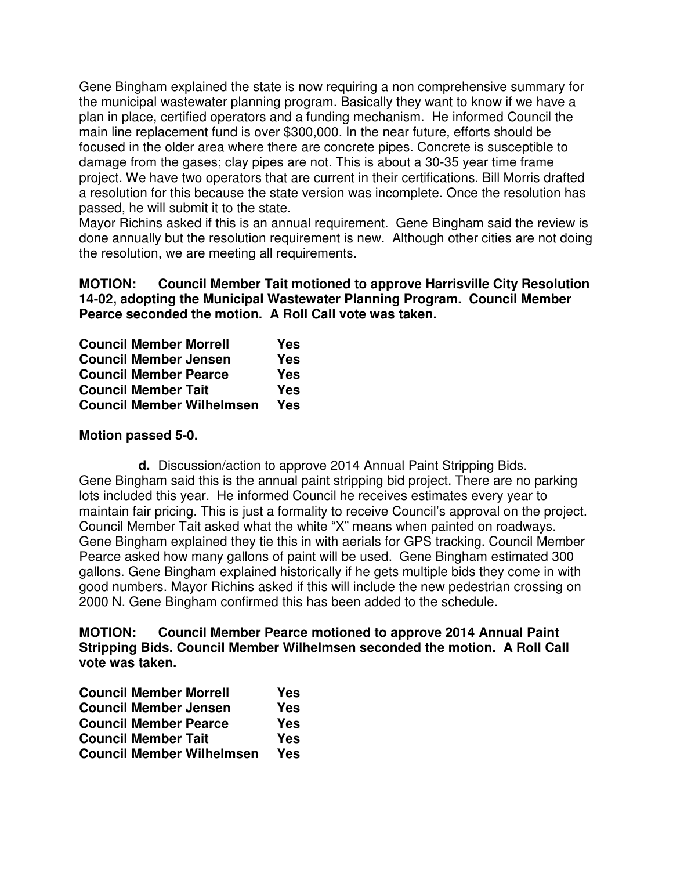Gene Bingham explained the state is now requiring a non comprehensive summary for the municipal wastewater planning program. Basically they want to know if we have a plan in place, certified operators and a funding mechanism. He informed Council the main line replacement fund is over \$300,000. In the near future, efforts should be focused in the older area where there are concrete pipes. Concrete is susceptible to damage from the gases; clay pipes are not. This is about a 30-35 year time frame project. We have two operators that are current in their certifications. Bill Morris drafted a resolution for this because the state version was incomplete. Once the resolution has passed, he will submit it to the state.

Mayor Richins asked if this is an annual requirement. Gene Bingham said the review is done annually but the resolution requirement is new. Although other cities are not doing the resolution, we are meeting all requirements.

#### **MOTION: Council Member Tait motioned to approve Harrisville City Resolution 14-02, adopting the Municipal Wastewater Planning Program. Council Member Pearce seconded the motion. A Roll Call vote was taken.**

| <b>Council Member Morrell</b>    | Yes        |
|----------------------------------|------------|
| <b>Council Member Jensen</b>     | Yes        |
| <b>Council Member Pearce</b>     | Yes        |
| <b>Council Member Tait</b>       | Yes        |
| <b>Council Member Wilhelmsen</b> | <b>Yes</b> |

#### **Motion passed 5-0.**

**d.** Discussion/action to approve 2014 Annual Paint Stripping Bids. Gene Bingham said this is the annual paint stripping bid project. There are no parking lots included this year. He informed Council he receives estimates every year to maintain fair pricing. This is just a formality to receive Council's approval on the project. Council Member Tait asked what the white "X" means when painted on roadways. Gene Bingham explained they tie this in with aerials for GPS tracking. Council Member Pearce asked how many gallons of paint will be used. Gene Bingham estimated 300 gallons. Gene Bingham explained historically if he gets multiple bids they come in with good numbers. Mayor Richins asked if this will include the new pedestrian crossing on 2000 N. Gene Bingham confirmed this has been added to the schedule.

#### **MOTION: Council Member Pearce motioned to approve 2014 Annual Paint Stripping Bids. Council Member Wilhelmsen seconded the motion. A Roll Call vote was taken.**

| <b>Council Member Morrell</b>    | Yes        |
|----------------------------------|------------|
| <b>Council Member Jensen</b>     | Yes        |
| <b>Council Member Pearce</b>     | Yes        |
| <b>Council Member Tait</b>       | Yes        |
| <b>Council Member Wilhelmsen</b> | <b>Yes</b> |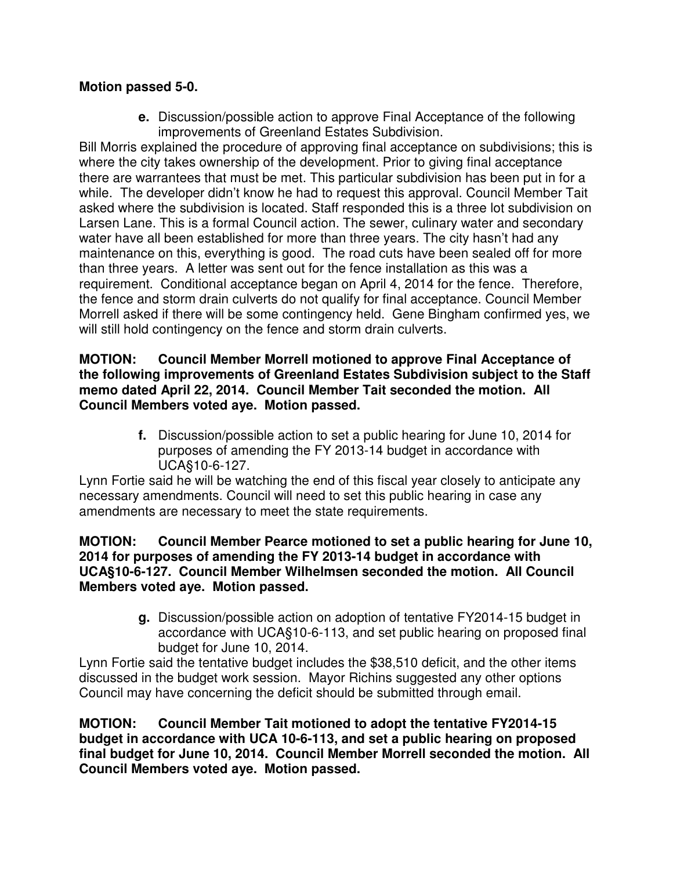## **Motion passed 5-0.**

**e.** Discussion/possible action to approve Final Acceptance of the following improvements of Greenland Estates Subdivision.

Bill Morris explained the procedure of approving final acceptance on subdivisions; this is where the city takes ownership of the development. Prior to giving final acceptance there are warrantees that must be met. This particular subdivision has been put in for a while. The developer didn't know he had to request this approval. Council Member Tait asked where the subdivision is located. Staff responded this is a three lot subdivision on Larsen Lane. This is a formal Council action. The sewer, culinary water and secondary water have all been established for more than three years. The city hasn't had any maintenance on this, everything is good. The road cuts have been sealed off for more than three years. A letter was sent out for the fence installation as this was a requirement. Conditional acceptance began on April 4, 2014 for the fence. Therefore, the fence and storm drain culverts do not qualify for final acceptance. Council Member Morrell asked if there will be some contingency held. Gene Bingham confirmed yes, we will still hold contingency on the fence and storm drain culverts.

#### **MOTION: Council Member Morrell motioned to approve Final Acceptance of the following improvements of Greenland Estates Subdivision subject to the Staff memo dated April 22, 2014. Council Member Tait seconded the motion. All Council Members voted aye. Motion passed.**

**f.** Discussion/possible action to set a public hearing for June 10, 2014 for purposes of amending the FY 2013-14 budget in accordance with UCA§10-6-127.

Lynn Fortie said he will be watching the end of this fiscal year closely to anticipate any necessary amendments. Council will need to set this public hearing in case any amendments are necessary to meet the state requirements.

#### **MOTION: Council Member Pearce motioned to set a public hearing for June 10, 2014 for purposes of amending the FY 2013-14 budget in accordance with UCA§10-6-127. Council Member Wilhelmsen seconded the motion. All Council Members voted aye. Motion passed.**

**g.** Discussion/possible action on adoption of tentative FY2014-15 budget in accordance with UCA§10-6-113, and set public hearing on proposed final budget for June 10, 2014.

Lynn Fortie said the tentative budget includes the \$38,510 deficit, and the other items discussed in the budget work session. Mayor Richins suggested any other options Council may have concerning the deficit should be submitted through email.

**MOTION: Council Member Tait motioned to adopt the tentative FY2014-15 budget in accordance with UCA 10-6-113, and set a public hearing on proposed final budget for June 10, 2014. Council Member Morrell seconded the motion. All Council Members voted aye. Motion passed.**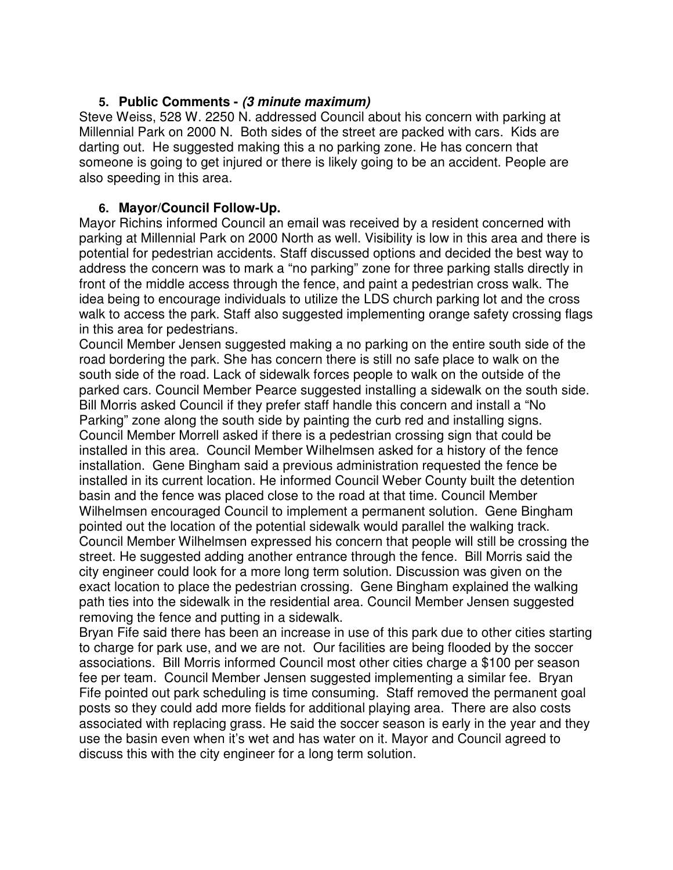### **5. Public Comments - (3 minute maximum)**

Steve Weiss, 528 W. 2250 N. addressed Council about his concern with parking at Millennial Park on 2000 N. Both sides of the street are packed with cars. Kids are darting out. He suggested making this a no parking zone. He has concern that someone is going to get injured or there is likely going to be an accident. People are also speeding in this area.

#### **6. Mayor/Council Follow-Up.**

Mayor Richins informed Council an email was received by a resident concerned with parking at Millennial Park on 2000 North as well. Visibility is low in this area and there is potential for pedestrian accidents. Staff discussed options and decided the best way to address the concern was to mark a "no parking" zone for three parking stalls directly in front of the middle access through the fence, and paint a pedestrian cross walk. The idea being to encourage individuals to utilize the LDS church parking lot and the cross walk to access the park. Staff also suggested implementing orange safety crossing flags in this area for pedestrians.

Council Member Jensen suggested making a no parking on the entire south side of the road bordering the park. She has concern there is still no safe place to walk on the south side of the road. Lack of sidewalk forces people to walk on the outside of the parked cars. Council Member Pearce suggested installing a sidewalk on the south side. Bill Morris asked Council if they prefer staff handle this concern and install a "No Parking" zone along the south side by painting the curb red and installing signs. Council Member Morrell asked if there is a pedestrian crossing sign that could be installed in this area. Council Member Wilhelmsen asked for a history of the fence installation. Gene Bingham said a previous administration requested the fence be installed in its current location. He informed Council Weber County built the detention basin and the fence was placed close to the road at that time. Council Member Wilhelmsen encouraged Council to implement a permanent solution. Gene Bingham pointed out the location of the potential sidewalk would parallel the walking track. Council Member Wilhelmsen expressed his concern that people will still be crossing the street. He suggested adding another entrance through the fence. Bill Morris said the city engineer could look for a more long term solution. Discussion was given on the exact location to place the pedestrian crossing. Gene Bingham explained the walking path ties into the sidewalk in the residential area. Council Member Jensen suggested removing the fence and putting in a sidewalk.

Bryan Fife said there has been an increase in use of this park due to other cities starting to charge for park use, and we are not. Our facilities are being flooded by the soccer associations. Bill Morris informed Council most other cities charge a \$100 per season fee per team. Council Member Jensen suggested implementing a similar fee. Bryan Fife pointed out park scheduling is time consuming. Staff removed the permanent goal posts so they could add more fields for additional playing area. There are also costs associated with replacing grass. He said the soccer season is early in the year and they use the basin even when it's wet and has water on it. Mayor and Council agreed to discuss this with the city engineer for a long term solution.